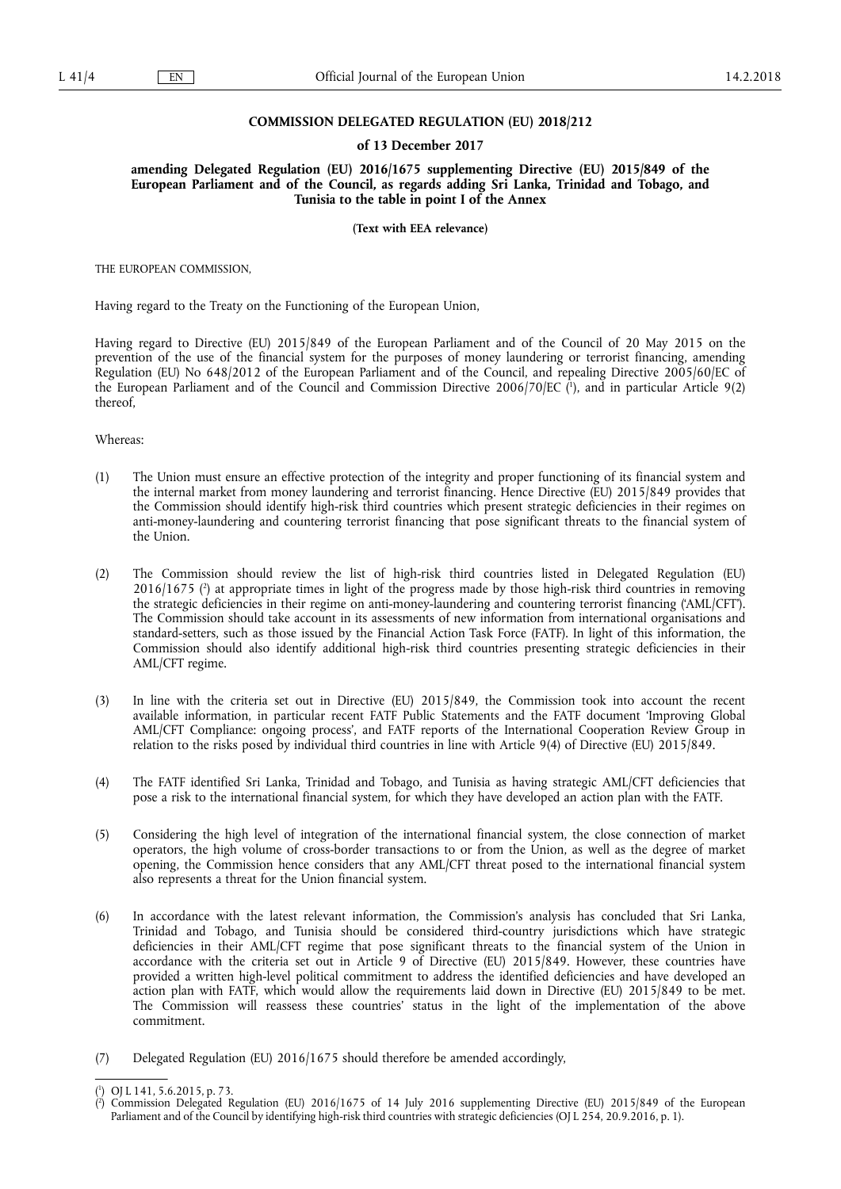## **COMMISSION DELEGATED REGULATION (EU) 2018/212**

## **of 13 December 2017**

**amending Delegated Regulation (EU) 2016/1675 supplementing Directive (EU) 2015/849 of the European Parliament and of the Council, as regards adding Sri Lanka, Trinidad and Tobago, and Tunisia to the table in point I of the Annex** 

**(Text with EEA relevance)** 

THE EUROPEAN COMMISSION,

Having regard to the Treaty on the Functioning of the European Union,

Having regard to Directive (EU) 2015/849 of the European Parliament and of the Council of 20 May 2015 on the prevention of the use of the financial system for the purposes of money laundering or terrorist financing, amending Regulation (EU) No 648/2012 of the European Parliament and of the Council, and repealing Directive 2005/60/EC of the European Parliament and of the Council and Commission Directive 2006/70/EC ( 1 ), and in particular Article 9(2) thereof,

Whereas:

- (1) The Union must ensure an effective protection of the integrity and proper functioning of its financial system and the internal market from money laundering and terrorist financing. Hence Directive (EU) 2015/849 provides that the Commission should identify high-risk third countries which present strategic deficiencies in their regimes on anti-money-laundering and countering terrorist financing that pose significant threats to the financial system of the Union.
- (2) The Commission should review the list of high-risk third countries listed in Delegated Regulation (EU) 2016/1675 ( 2 ) at appropriate times in light of the progress made by those high-risk third countries in removing the strategic deficiencies in their regime on anti-money-laundering and countering terrorist financing ('AML/CFT'). The Commission should take account in its assessments of new information from international organisations and standard-setters, such as those issued by the Financial Action Task Force (FATF). In light of this information, the Commission should also identify additional high-risk third countries presenting strategic deficiencies in their AML/CFT regime.
- (3) In line with the criteria set out in Directive (EU) 2015/849, the Commission took into account the recent available information, in particular recent FATF Public Statements and the FATF document 'Improving Global AML/CFT Compliance: ongoing process', and FATF reports of the International Cooperation Review Group in relation to the risks posed by individual third countries in line with Article 9(4) of Directive (EU) 2015/849.
- (4) The FATF identified Sri Lanka, Trinidad and Tobago, and Tunisia as having strategic AML/CFT deficiencies that pose a risk to the international financial system, for which they have developed an action plan with the FATF.
- (5) Considering the high level of integration of the international financial system, the close connection of market operators, the high volume of cross-border transactions to or from the Union, as well as the degree of market opening, the Commission hence considers that any AML/CFT threat posed to the international financial system also represents a threat for the Union financial system.
- (6) In accordance with the latest relevant information, the Commission's analysis has concluded that Sri Lanka, Trinidad and Tobago, and Tunisia should be considered third-country jurisdictions which have strategic deficiencies in their AML/CFT regime that pose significant threats to the financial system of the Union in accordance with the criteria set out in Article 9 of Directive (EU) 2015/849. However, these countries have provided a written high-level political commitment to address the identified deficiencies and have developed an action plan with FATF, which would allow the requirements laid down in Directive (EU) 2015/849 to be met. The Commission will reassess these countries' status in the light of the implementation of the above commitment.
- (7) Delegated Regulation (EU) 2016/1675 should therefore be amended accordingly,

<sup>(</sup> 1 ) OJ L 141, 5.6.2015, p. 73.

<sup>(</sup> 2 ) Commission Delegated Regulation (EU) 2016/1675 of 14 July 2016 supplementing Directive (EU) 2015/849 of the European Parliament and of the Council by identifying high-risk third countries with strategic deficiencies (OJ L 254, 20.9.2016, p. 1).